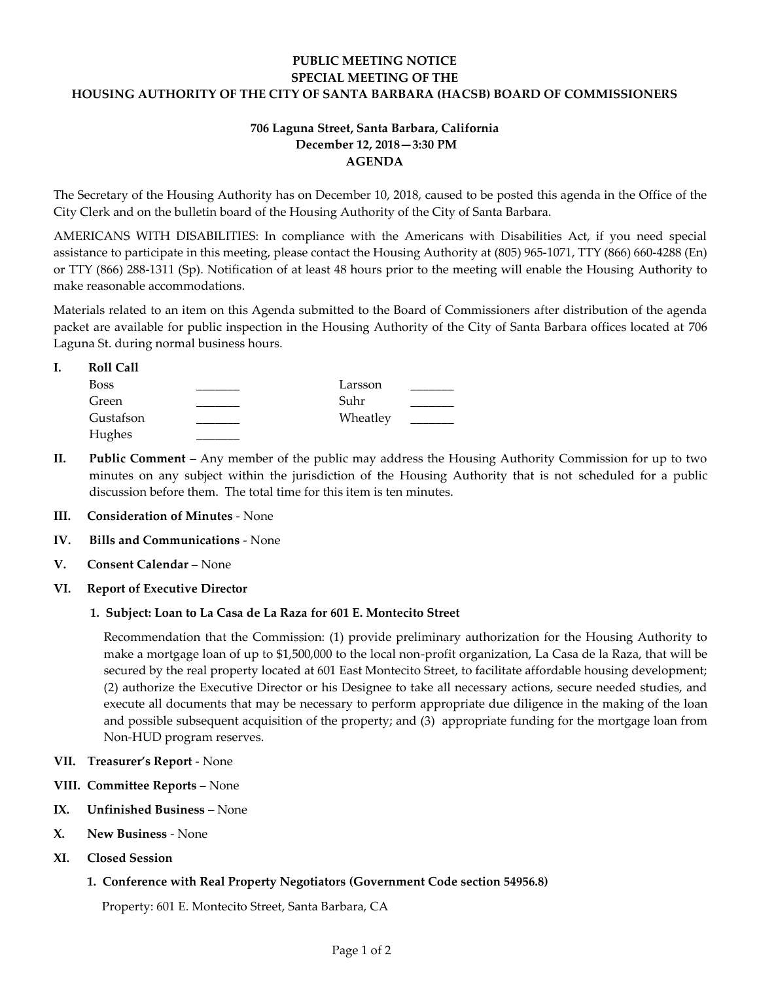## **PUBLIC MEETING NOTICE SPECIAL MEETING OF THE HOUSING AUTHORITY OF THE CITY OF SANTA BARBARA (HACSB) BOARD OF COMMISSIONERS**

## **706 Laguna Street, Santa Barbara, California December 12, 2018—3:30 PM AGENDA**

The Secretary of the Housing Authority has on December 10, 2018, caused to be posted this agenda in the Office of the City Clerk and on the bulletin board of the Housing Authority of the City of Santa Barbara.

AMERICANS WITH DISABILITIES: In compliance with the Americans with Disabilities Act, if you need special assistance to participate in this meeting, please contact the Housing Authority at (805) 965-1071, TTY (866) 660-4288 (En) or TTY (866) 288-1311 (Sp). Notification of at least 48 hours prior to the meeting will enable the Housing Authority to make reasonable accommodations.

Materials related to an item on this Agenda submitted to the Board of Commissioners after distribution of the agenda packet are available for public inspection in the Housing Authority of the City of Santa Barbara offices located at 706 Laguna St. during normal business hours.

| <b>Roll Call</b> |          |  |
|------------------|----------|--|
| <b>Boss</b>      | Larsson  |  |
| Green            | Suhr     |  |
| Gustafson        | Wheatley |  |
| Hughes           |          |  |

- **II. Public Comment** Any member of the public may address the Housing Authority Commission for up to two minutes on any subject within the jurisdiction of the Housing Authority that is not scheduled for a public discussion before them. The total time for this item is ten minutes.
- **III. Consideration of Minutes**  None
- **IV. Bills and Communications** None
- **V. Consent Calendar** None
- **VI. Report of Executive Director**

## **1. Subject: Loan to La Casa de La Raza for 601 E. Montecito Street**

Recommendation that the Commission: (1) provide preliminary authorization for the Housing Authority to [make a mortgage loan of up to \\$1,500,000 to the local non-profit organization, La Casa de la Raza, that will be](https://hacsb.org/download/meetings_2018/items_special_meeting/Item-VI.1.pdf)  secured by the real property located at 601 East Montecito Street, to facilitate affordable housing development; (2) authorize the Executive Director or his Designee to take all necessary actions, secure needed studies, and execute all documents that may be necessary to perform appropriate due diligence in the making of the loan and possible subsequent acquisition of the property; and (3) appropriate funding for the mortgage loan from Non-HUD program reserves.

- **VII. Treasurer's Report** None
- **VIII. Committee Reports**  None
- **IX. Unfinished Business**  None
- **X. New Business**  None
- **XI. Closed Session** 
	- **1. Conference with Real Property Negotiators (Government Code section 54956.8)**

Property: 601 E. Montecito Street, Santa Barbara, CA